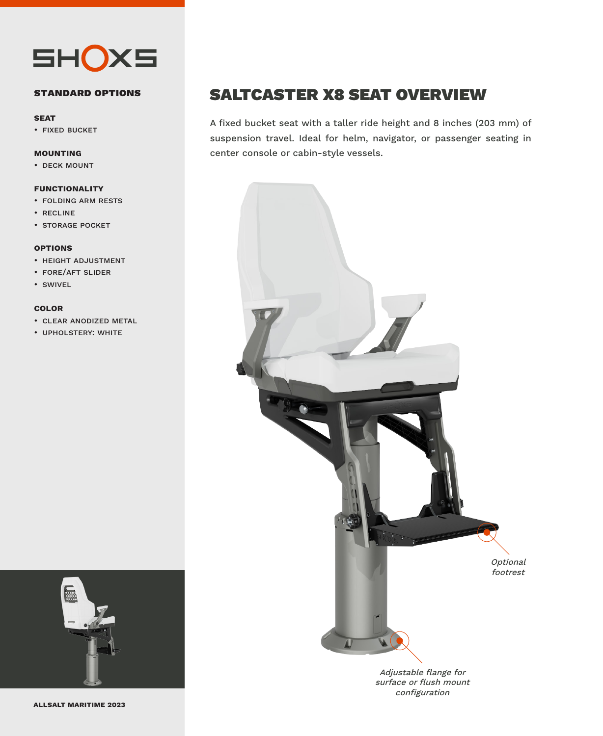

### **standard options**

#### **seat**

• fixed bucket

### **mounting**

• deck mount

### **functionality**

- folding arm rests
- recline
- storage pocket

#### **options**

- height adjustment
- fore/aft slider
- swivel

### **color**

- clear anodized metal
- upholstery: white



### SALTCASTER X8 SEAT OVERVIEW

A fixed bucket seat with a taller ride height and 8 inches (203 mm) of suspension travel. Ideal for helm, navigator, or passenger seating in center console or cabin-style vessels.



Adjustable flange for surface or flush mount configuration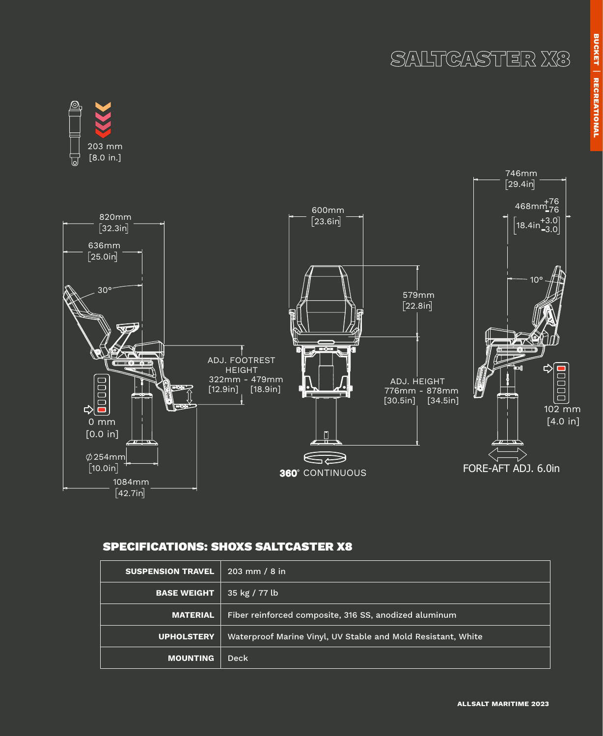# SALTCASTER X8



### SPECIFICATIONS: SHOXS SALTCASTER X8

| <b>SUSPENSION TRAVEL</b> | $203 \, \text{mm}$ / 8 in                                    |
|--------------------------|--------------------------------------------------------------|
| <b>BASE WEIGHT</b>       | $35 \text{ kg} / 77 \text{ lb}$                              |
| <b>MATERIAL</b>          | Fiber reinforced composite, 316 SS, anodized aluminum        |
| <b>UPHOLSTERY</b>        | Waterproof Marine Vinyl, UV Stable and Mold Resistant, White |
| <b>MOUNTING</b>          | <b>Deck</b>                                                  |